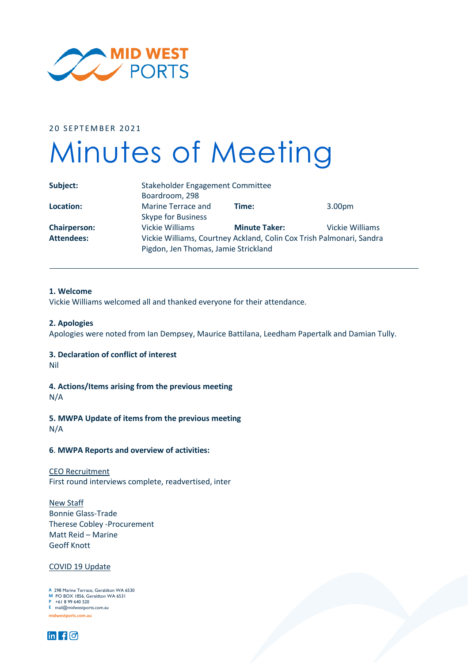

20 SEPTEMBER 2021

# Minutes of Meeting

| Subject:            | Stakeholder Engagement Committee                                                                             |                      |                        |
|---------------------|--------------------------------------------------------------------------------------------------------------|----------------------|------------------------|
|                     | Boardroom, 298                                                                                               |                      |                        |
| Location:           | Marine Terrace and                                                                                           | Time:                | 3.00 <sub>pm</sub>     |
|                     | <b>Skype for Business</b>                                                                                    |                      |                        |
| <b>Chairperson:</b> | <b>Vickie Williams</b>                                                                                       | <b>Minute Taker:</b> | <b>Vickie Williams</b> |
| <b>Attendees:</b>   | Vickie Williams, Courtney Ackland, Colin Cox Trish Palmonari, Sandra<br>Pigdon, Jen Thomas, Jamie Strickland |                      |                        |

# **1. Welcome**

Vickie Williams welcomed all and thanked everyone for their attendance.

#### **2. Apologies**

Apologies were noted from Ian Dempsey, Maurice Battilana, Leedham Papertalk and Damian Tully.

# **3. Declaration of conflict of interest**

Nil

**4. Actions/Items arising from the previous meeting**

N/A

**5. MWPA Update of items from the previous meeting**

N/A

# **6**. **MWPA Reports and overview of activities:**

CEO Recruitment First round interviews complete, readvertised, inter

New Staff Bonnie Glass-Trade Therese Cobley -Procurement Matt Reid – Marine Geoff Knott

### COVID 19 Update

**A** 298 Marine Terrace, Geraldton WA 6530 **M** PO BOX 1856, Geraldton WA 6531 **P** +61 8 99 640 520 **F** +61 8 99 640 555 **E** mail@midwestports.com.au **midwestports.com.au midwestports.com.au A** 298 Marine Terrace, Geraldton WA 653<br>**M** PO BOX 1856, Geraldton WA 6531<br>P +61 8 99 640 520

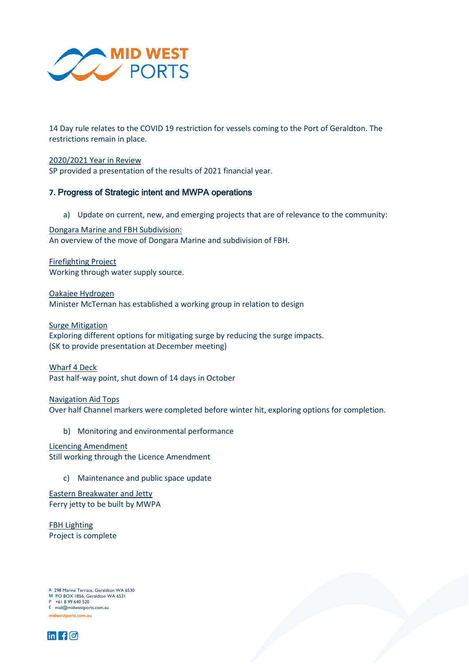

14 Day rule relates to the COVID 19 restriction for vessels coming to the Port of Geraldton. The restrictions remain in place.

2020/2021 Year in Review SP provided a presentation of the results of 2021 financial year.

# **7.** Progress of Strategic intent and MWPA operations

a) Update on current, new, and emerging projects that are of relevance to the community:

Dongara Marine and FBH Subdivision: An overview of the move of Dongara Marine and subdivision of FBH.

Firefighting Project Working through water supply source.

Oakajee Hydrogen Minister McTernan has established a working group in relation to design

Surge Mitigation Exploring different options for mitigating surge by reducing the surge impacts. (SK to provide presentation at December meeting)

Wharf 4 Deck Past half-way point, shut down of 14 days in October

Navigation Aid Tops Over half Channel markers were completed before winter hit, exploring options for completion.

b) Monitoring and environmental performance

Licencing Amendment Still working through the Licence Amendment

- - c) Maintenance and public space update

Eastern Breakwater and Jetty Ferry jetty to be built by MWPA

FBH Lighting Project is complete

**A** 298 Marine Terrace, Geraldton WA 6530 **M** PO BOX 1856, Geraldton WA 6531 **P** +61 8 99 640 520 **F** +61 8 99 640 555 **E** mail@midwestports.com.au **A** 298 Marine Terrace, Geraldton WA 653<br>**M** PO BOX 1856, Geraldton WA 6531<br>P +61 8 99 640 520



**midwestports.com.au midwestports.com.au**